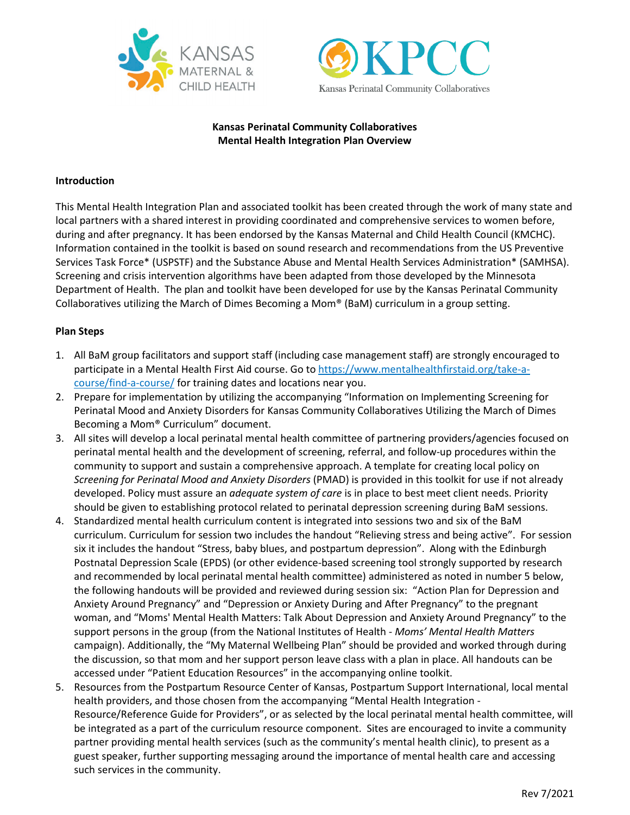



### **Kansas Perinatal Community Collaboratives Mental Health Integration Plan Overview**

#### **Introduction**

This Mental Health Integration Plan and associated toolkit has been created through the work of many state and local partners with a shared interest in providing coordinated and comprehensive services to women before, during and after pregnancy. It has been endorsed by the Kansas Maternal and Child Health Council (KMCHC). Information contained in the toolkit is based on sound research and recommendations from the US Preventive Services Task Force\* (USPSTF) and the Substance Abuse and Mental Health Services Administration\* (SAMHSA). Screening and crisis intervention algorithms have been adapted from those developed by the Minnesota Department of Health. The plan and toolkit have been developed for use by the Kansas Perinatal Community Collaboratives utilizing the March of Dimes Becoming a Mom® (BaM) curriculum in a group setting.

#### **Plan Steps**

- 1. All BaM group facilitators and support staff (including case management staff) are strongly encouraged to participate in a Mental Health First Aid course. Go t[o https://www.mentalhealthfirstaid.org/take-a](https://www.mentalhealthfirstaid.org/take-a-course/find-a-course/)[course/find-a-course/](https://www.mentalhealthfirstaid.org/take-a-course/find-a-course/) for training dates and locations near you.
- 2. Prepare for implementation by utilizing the accompanying "Information on Implementing Screening for Perinatal Mood and Anxiety Disorders for Kansas Community Collaboratives Utilizing the March of Dimes Becoming a Mom® Curriculum" document.
- 3. All sites will develop a local perinatal mental health committee of partnering providers/agencies focused on perinatal mental health and the development of screening, referral, and follow-up procedures within the community to support and sustain a comprehensive approach. A template for creating local policy on *Screening for Perinatal Mood and Anxiety Disorders* (PMAD) is provided in this toolkit for use if not already developed. Policy must assure an *adequate system of care* is in place to best meet client needs. Priority should be given to establishing protocol related to perinatal depression screening during BaM sessions.
- 4. Standardized mental health curriculum content is integrated into sessions two and six of the BaM curriculum. Curriculum for session two includes the handout "Relieving stress and being active". For session six it includes the handout "Stress, baby blues, and postpartum depression". Along with the Edinburgh Postnatal Depression Scale (EPDS) (or other evidence-based screening tool strongly supported by research and recommended by local perinatal mental health committee) administered as noted in number 5 below, the following handouts will be provided and reviewed during session six: "Action Plan for Depression and Anxiety Around Pregnancy" and "Depression or Anxiety During and After Pregnancy" to the pregnant woman, and "Moms' Mental Health Matters: Talk About Depression and Anxiety Around Pregnancy" to the support persons in the group (from the National Institutes of Health - *Moms' Mental Health Matters* campaign). Additionally, the "My Maternal Wellbeing Plan" should be provided and worked through during the discussion, so that mom and her support person leave class with a plan in place. All handouts can be accessed under "Patient Education Resources" in the accompanying online toolkit.
- 5. Resources from the Postpartum Resource Center of Kansas, Postpartum Support International, local mental health providers, and those chosen from the accompanying "Mental Health Integration - Resource/Reference Guide for Providers", or as selected by the local perinatal mental health committee, will be integrated as a part of the curriculum resource component. Sites are encouraged to invite a community partner providing mental health services (such as the community's mental health clinic), to present as a guest speaker, further supporting messaging around the importance of mental health care and accessing such services in the community.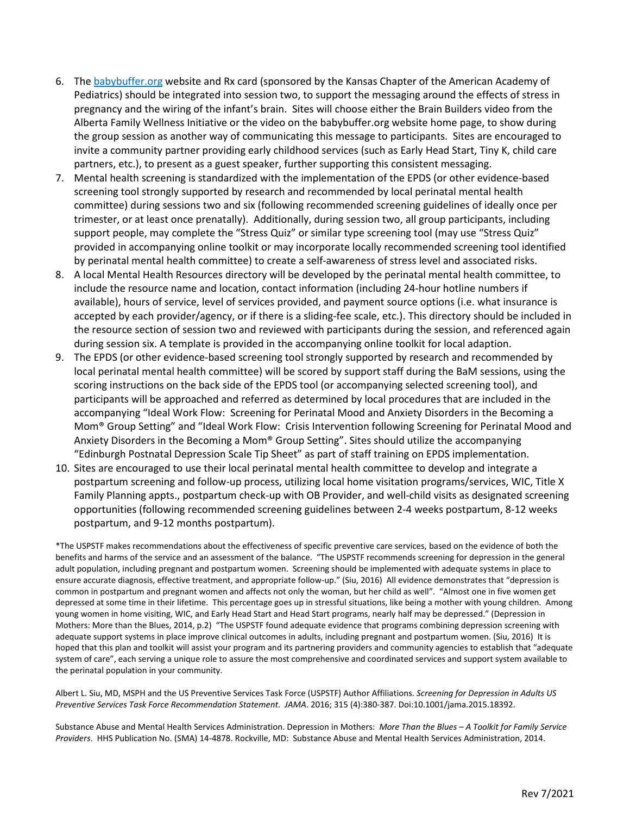- 6. The [babybuffer.org](http://babybuffer.org/) website and Rx card (sponsored by the Kansas Chapter of the American Academy of Pediatrics) should be integrated into session two, to support the messaging around the effects of stress in pregnancy and the wiring of the infant's brain. Sites will choose either the Brain Builders video from the Alberta Family Wellness Initiative or the video on the babybuffer.org website home page, to show during the group session as another way of communicating this message to participants. Sites are encouraged to invite a community partner providing early childhood services (such as Early Head Start, Tiny K, child care partners, etc.), to present as a guest speaker, further supporting this consistent messaging.
- 7. Mental health screening is standardized with the implementation of the EPDS (or other evidence-based screening tool strongly supported by research and recommended by local perinatal mental health committee) during sessions two and six (following recommended screening guidelines of ideally once per trimester, or at least once prenatally). Additionally, during session two, all group participants, including support people, may complete the "Stress Quiz" or similar type screening tool (may use "Stress Quiz" provided in accompanying online toolkit or may incorporate locally recommended screening tool identified by perinatal mental health committee) to create a self-awareness of stress level and associated risks.
- 8. A local Mental Health Resources directory will be developed by the perinatal mental health committee, to include the resource name and location, contact information (including 24-hour hotline numbers if available), hours of service, level of services provided, and payment source options (i.e. what insurance is accepted by each provider/agency, or if there is a sliding-fee scale, etc.). This directory should be included in the resource section of session two and reviewed with participants during the session, and referenced again during session six. A template is provided in the accompanying online toolkit for local adaption.
- 9. The EPDS (or other evidence-based screening tool strongly supported by research and recommended by local perinatal mental health committee) will be scored by support staff during the BaM sessions, using the scoring instructions on the back side of the EPDS tool (or accompanying selected screening tool), and participants will be approached and referred as determined by local procedures that are included in the accompanying "Ideal Work Flow: Screening for Perinatal Mood and Anxiety Disorders in the Becoming a Mom® Group Setting" and "Ideal Work Flow: Crisis Intervention following Screening for Perinatal Mood and Anxiety Disorders in the Becoming a Mom® Group Setting". Sites should utilize the accompanying "Edinburgh Postnatal Depression Scale Tip Sheet" as part of staff training on EPDS implementation.
- 10. Sites are encouraged to use their local perinatal mental health committee to develop and integrate a postpartum screening and follow-up process, utilizing local home visitation programs/services, WIC, Title X Family Planning appts., postpartum check-up with OB Provider, and well-child visits as designated screening opportunities (following recommended screening guidelines between 2-4 weeks postpartum, 8-12 weeks postpartum, and 9-12 months postpartum).

\*The USPSTF makes recommendations about the effectiveness of specific preventive care services, based on the evidence of both the benefits and harms of the service and an assessment of the balance. "The USPSTF recommends screening for depression in the general adult population, including pregnant and postpartum women. Screening should be implemented with adequate systems in place to ensure accurate diagnosis, effective treatment, and appropriate follow-up." (Siu, 2016) All evidence demonstrates that "depression is common in postpartum and pregnant women and affects not only the woman, but her child as well". "Almost one in five women get depressed at some time in their lifetime. This percentage goes up in stressful situations, like being a mother with young children. Among young women in home visiting, WIC, and Early Head Start and Head Start programs, nearly half may be depressed." (Depression in Mothers: More than the Blues, 2014, p.2) "The USPSTF found adequate evidence that programs combining depression screening with adequate support systems in place improve clinical outcomes in adults, including pregnant and postpartum women. (Siu, 2016) It is hoped that this plan and toolkit will assist your program and its partnering providers and community agencies to establish that "adequate system of care", each serving a unique role to assure the most comprehensive and coordinated services and support system available to the perinatal population in your community.

Albert L. Siu, MD, MSPH and the US Preventive Services Task Force (USPSTF) Author Affiliations. *Screening for Depression in Adults US Preventive Services Task Force Recommendation Statement. JAMA*. 2016; 315 (4):380-387. Doi:10.1001/jama.2015.18392.

Substance Abuse and Mental Health Services Administration. Depression in Mothers: *More Than the Blues – A Toolkit for Family Service Providers*. HHS Publication No. (SMA) 14-4878. Rockville, MD: Substance Abuse and Mental Health Services Administration, 2014.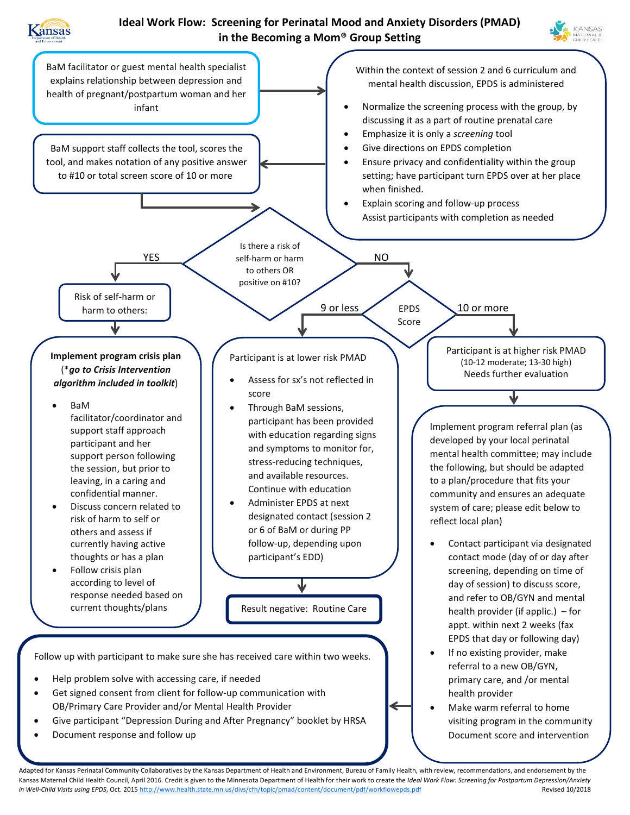

## **Ideal Work Flow: Screening for Perinatal Mood and Anxiety Disorders (PMAD) in the Becoming a Mom® Group Setting**





Adapted for Kansas Perinatal Community Collaboratives by the Kansas Department of Health and Environment, Bureau of Family Health, with review, recommendations, and endorsement by the Kansas Maternal Child Health Council, April 2016. Credit is given to the Minnesota Department of Health for their work to create the *Ideal Work Flow: Screening for Postpartum Depression/Anxiety in Well-Child Visits using EPDS*, Oct. 201[5 http://www.health.state.mn.us/divs/cfh/topic/pmad/content/document/pdf/workflowepds.pdf](http://www.health.state.mn.us/divs/cfh/topic/pmad/content/document/pdf/workflowepds.pdf) Revised 10/2018